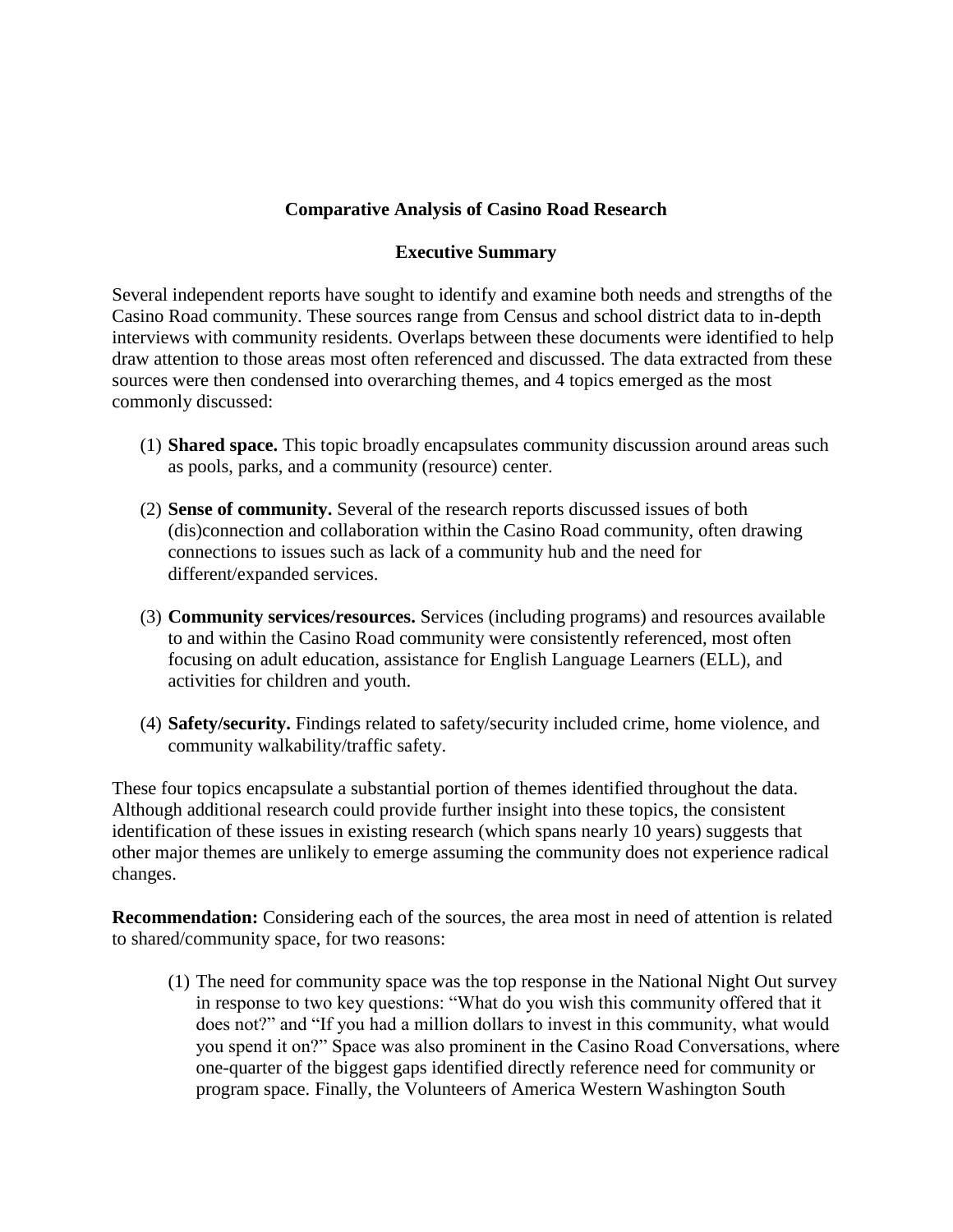# **Comparative Analysis of Casino Road Research**

## **Executive Summary**

Several independent reports have sought to identify and examine both needs and strengths of the Casino Road community. These sources range from Census and school district data to in-depth interviews with community residents. Overlaps between these documents were identified to help draw attention to those areas most often referenced and discussed. The data extracted from these sources were then condensed into overarching themes, and 4 topics emerged as the most commonly discussed:

- (1) **Shared space.** This topic broadly encapsulates community discussion around areas such as pools, parks, and a community (resource) center.
- (2) **Sense of community.** Several of the research reports discussed issues of both (dis)connection and collaboration within the Casino Road community, often drawing connections to issues such as lack of a community hub and the need for different/expanded services.
- (3) **Community services/resources.** Services (including programs) and resources available to and within the Casino Road community were consistently referenced, most often focusing on adult education, assistance for English Language Learners (ELL), and activities for children and youth.
- (4) **Safety/security.** Findings related to safety/security included crime, home violence, and community walkability/traffic safety.

These four topics encapsulate a substantial portion of themes identified throughout the data. Although additional research could provide further insight into these topics, the consistent identification of these issues in existing research (which spans nearly 10 years) suggests that other major themes are unlikely to emerge assuming the community does not experience radical changes.

**Recommendation:** Considering each of the sources, the area most in need of attention is related to shared/community space, for two reasons:

(1) The need for community space was the top response in the National Night Out survey in response to two key questions: "What do you wish this community offered that it does not?" and "If you had a million dollars to invest in this community, what would you spend it on?" Space was also prominent in the Casino Road Conversations, where one-quarter of the biggest gaps identified directly reference need for community or program space. Finally, the Volunteers of America Western Washington South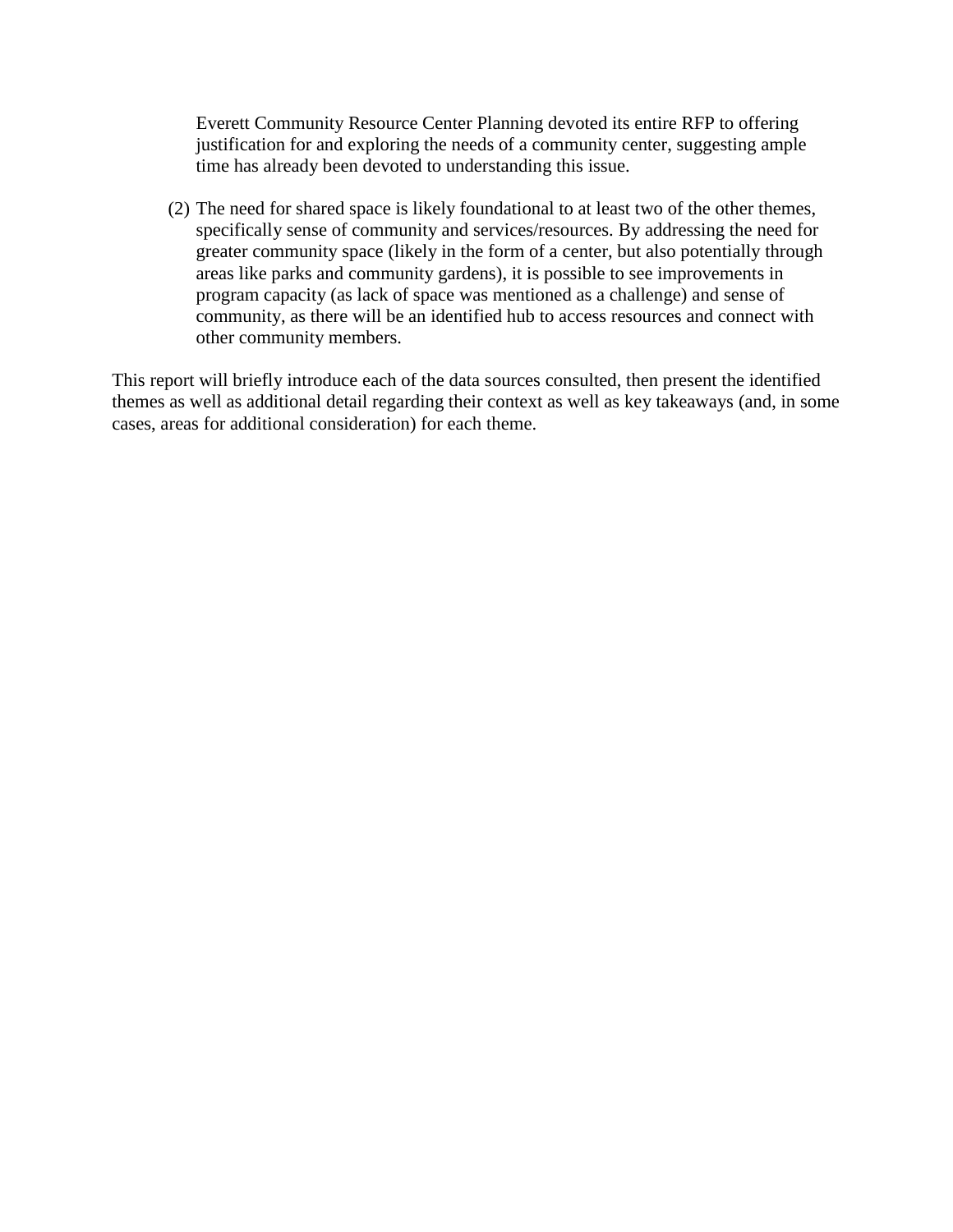Everett Community Resource Center Planning devoted its entire RFP to offering justification for and exploring the needs of a community center, suggesting ample time has already been devoted to understanding this issue.

(2) The need for shared space is likely foundational to at least two of the other themes, specifically sense of community and services/resources. By addressing the need for greater community space (likely in the form of a center, but also potentially through areas like parks and community gardens), it is possible to see improvements in program capacity (as lack of space was mentioned as a challenge) and sense of community, as there will be an identified hub to access resources and connect with other community members.

This report will briefly introduce each of the data sources consulted, then present the identified themes as well as additional detail regarding their context as well as key takeaways (and, in some cases, areas for additional consideration) for each theme.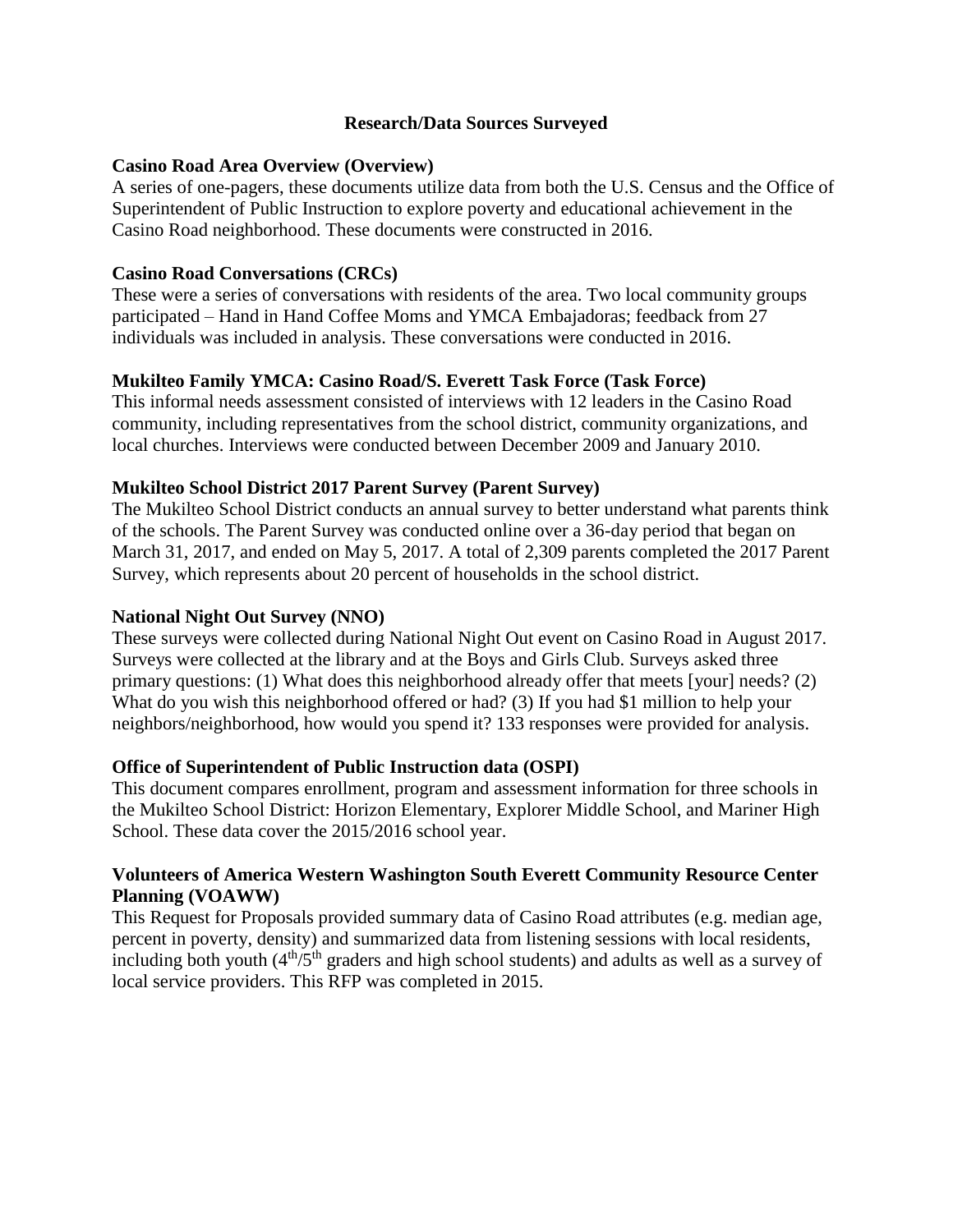## **Research/Data Sources Surveyed**

### **Casino Road Area Overview (Overview)**

A series of one-pagers, these documents utilize data from both the U.S. Census and the Office of Superintendent of Public Instruction to explore poverty and educational achievement in the Casino Road neighborhood. These documents were constructed in 2016.

## **Casino Road Conversations (CRCs)**

These were a series of conversations with residents of the area. Two local community groups participated – Hand in Hand Coffee Moms and YMCA Embajadoras; feedback from 27 individuals was included in analysis. These conversations were conducted in 2016.

## **Mukilteo Family YMCA: Casino Road/S. Everett Task Force (Task Force)**

This informal needs assessment consisted of interviews with 12 leaders in the Casino Road community, including representatives from the school district, community organizations, and local churches. Interviews were conducted between December 2009 and January 2010.

## **Mukilteo School District 2017 Parent Survey (Parent Survey)**

The Mukilteo School District conducts an annual survey to better understand what parents think of the schools. The Parent Survey was conducted online over a 36-day period that began on March 31, 2017, and ended on May 5, 2017. A total of 2,309 parents completed the 2017 Parent Survey, which represents about 20 percent of households in the school district.

### **National Night Out Survey (NNO)**

These surveys were collected during National Night Out event on Casino Road in August 2017. Surveys were collected at the library and at the Boys and Girls Club. Surveys asked three primary questions: (1) What does this neighborhood already offer that meets [your] needs? (2) What do you wish this neighborhood offered or had? (3) If you had \$1 million to help your neighbors/neighborhood, how would you spend it? 133 responses were provided for analysis.

### **Office of Superintendent of Public Instruction data (OSPI)**

This document compares enrollment, program and assessment information for three schools in the Mukilteo School District: Horizon Elementary, Explorer Middle School, and Mariner High School. These data cover the 2015/2016 school year.

### **Volunteers of America Western Washington South Everett Community Resource Center Planning (VOAWW)**

This Request for Proposals provided summary data of Casino Road attributes (e.g. median age, percent in poverty, density) and summarized data from listening sessions with local residents, including both youth  $(4<sup>th</sup>/5<sup>th</sup>$  graders and high school students) and adults as well as a survey of local service providers. This RFP was completed in 2015.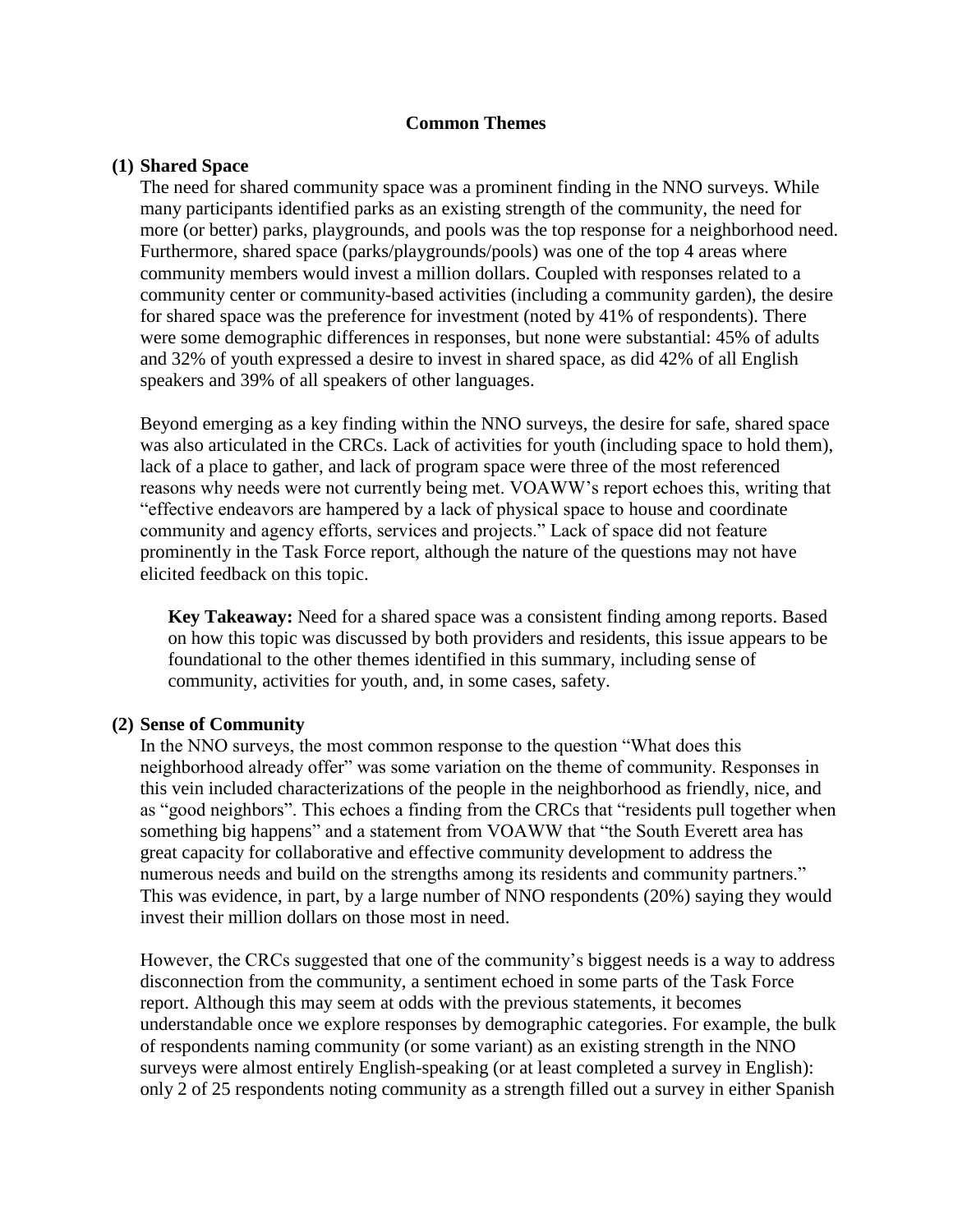#### **Common Themes**

#### **(1) Shared Space**

The need for shared community space was a prominent finding in the NNO surveys. While many participants identified parks as an existing strength of the community, the need for more (or better) parks, playgrounds, and pools was the top response for a neighborhood need. Furthermore, shared space (parks/playgrounds/pools) was one of the top 4 areas where community members would invest a million dollars. Coupled with responses related to a community center or community-based activities (including a community garden), the desire for shared space was the preference for investment (noted by 41% of respondents). There were some demographic differences in responses, but none were substantial: 45% of adults and 32% of youth expressed a desire to invest in shared space, as did 42% of all English speakers and 39% of all speakers of other languages.

Beyond emerging as a key finding within the NNO surveys, the desire for safe, shared space was also articulated in the CRCs. Lack of activities for youth (including space to hold them), lack of a place to gather, and lack of program space were three of the most referenced reasons why needs were not currently being met. VOAWW's report echoes this, writing that "effective endeavors are hampered by a lack of physical space to house and coordinate community and agency efforts, services and projects." Lack of space did not feature prominently in the Task Force report, although the nature of the questions may not have elicited feedback on this topic.

**Key Takeaway:** Need for a shared space was a consistent finding among reports. Based on how this topic was discussed by both providers and residents, this issue appears to be foundational to the other themes identified in this summary, including sense of community, activities for youth, and, in some cases, safety.

### **(2) Sense of Community**

In the NNO surveys, the most common response to the question "What does this neighborhood already offer" was some variation on the theme of community. Responses in this vein included characterizations of the people in the neighborhood as friendly, nice, and as "good neighbors". This echoes a finding from the CRCs that "residents pull together when something big happens" and a statement from VOAWW that "the South Everett area has great capacity for collaborative and effective community development to address the numerous needs and build on the strengths among its residents and community partners." This was evidence, in part, by a large number of NNO respondents (20%) saying they would invest their million dollars on those most in need.

However, the CRCs suggested that one of the community's biggest needs is a way to address disconnection from the community, a sentiment echoed in some parts of the Task Force report. Although this may seem at odds with the previous statements, it becomes understandable once we explore responses by demographic categories. For example, the bulk of respondents naming community (or some variant) as an existing strength in the NNO surveys were almost entirely English-speaking (or at least completed a survey in English): only 2 of 25 respondents noting community as a strength filled out a survey in either Spanish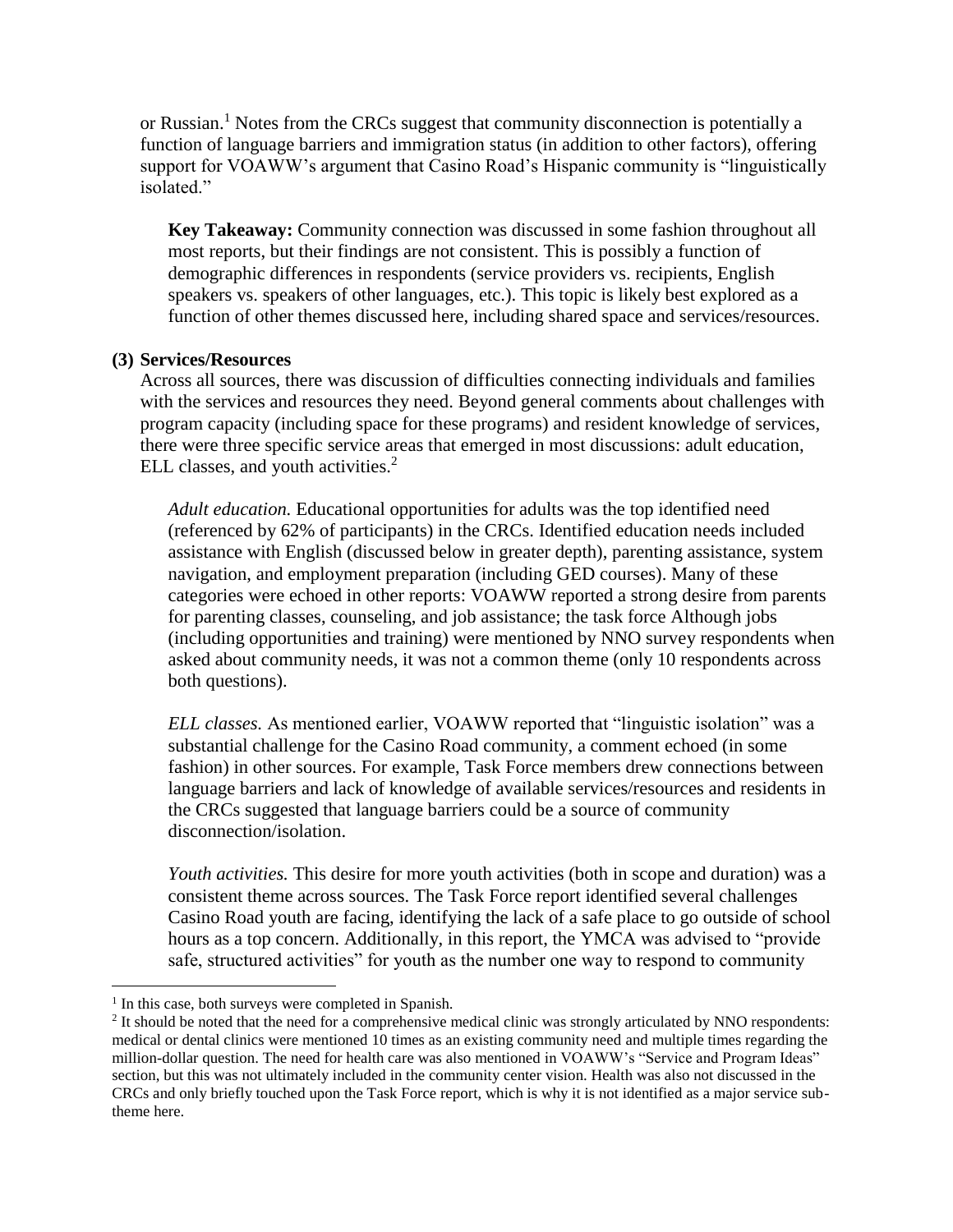or Russian. <sup>1</sup> Notes from the CRCs suggest that community disconnection is potentially a function of language barriers and immigration status (in addition to other factors), offering support for VOAWW's argument that Casino Road's Hispanic community is "linguistically isolated."

**Key Takeaway:** Community connection was discussed in some fashion throughout all most reports, but their findings are not consistent. This is possibly a function of demographic differences in respondents (service providers vs. recipients, English speakers vs. speakers of other languages, etc.). This topic is likely best explored as a function of other themes discussed here, including shared space and services/resources.

#### **(3) Services/Resources**

Across all sources, there was discussion of difficulties connecting individuals and families with the services and resources they need. Beyond general comments about challenges with program capacity (including space for these programs) and resident knowledge of services, there were three specific service areas that emerged in most discussions: adult education, ELL classes, and youth activities.<sup>2</sup>

*Adult education.* Educational opportunities for adults was the top identified need (referenced by 62% of participants) in the CRCs. Identified education needs included assistance with English (discussed below in greater depth), parenting assistance, system navigation, and employment preparation (including GED courses). Many of these categories were echoed in other reports: VOAWW reported a strong desire from parents for parenting classes, counseling, and job assistance; the task force Although jobs (including opportunities and training) were mentioned by NNO survey respondents when asked about community needs, it was not a common theme (only 10 respondents across both questions).

*ELL classes.* As mentioned earlier, VOAWW reported that "linguistic isolation" was a substantial challenge for the Casino Road community, a comment echoed (in some fashion) in other sources. For example, Task Force members drew connections between language barriers and lack of knowledge of available services/resources and residents in the CRCs suggested that language barriers could be a source of community disconnection/isolation.

*Youth activities.* This desire for more youth activities (both in scope and duration) was a consistent theme across sources. The Task Force report identified several challenges Casino Road youth are facing, identifying the lack of a safe place to go outside of school hours as a top concern. Additionally, in this report, the YMCA was advised to "provide safe, structured activities" for youth as the number one way to respond to community

 $\overline{a}$ 

<sup>&</sup>lt;sup>1</sup> In this case, both surveys were completed in Spanish.

 $<sup>2</sup>$  It should be noted that the need for a comprehensive medical clinic was strongly articulated by NNO respondents:</sup> medical or dental clinics were mentioned 10 times as an existing community need and multiple times regarding the million-dollar question. The need for health care was also mentioned in VOAWW's "Service and Program Ideas" section, but this was not ultimately included in the community center vision. Health was also not discussed in the CRCs and only briefly touched upon the Task Force report, which is why it is not identified as a major service subtheme here.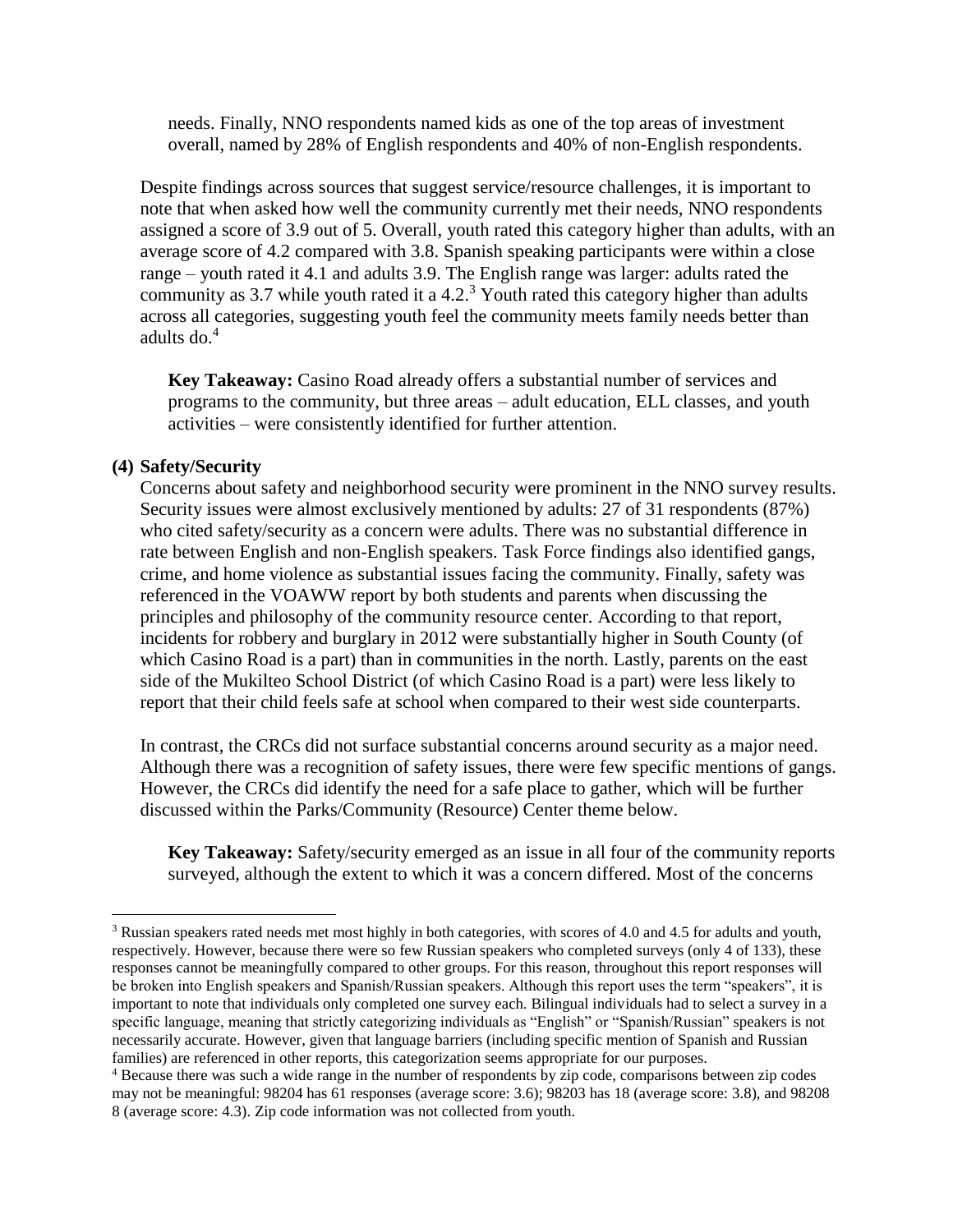needs. Finally, NNO respondents named kids as one of the top areas of investment overall, named by 28% of English respondents and 40% of non-English respondents.

Despite findings across sources that suggest service/resource challenges, it is important to note that when asked how well the community currently met their needs, NNO respondents assigned a score of 3.9 out of 5. Overall, youth rated this category higher than adults, with an average score of 4.2 compared with 3.8. Spanish speaking participants were within a close range – youth rated it 4.1 and adults 3.9. The English range was larger: adults rated the community as 3.7 while youth rated it a 4.2.<sup>3</sup> Youth rated this category higher than adults across all categories, suggesting youth feel the community meets family needs better than adults do. $4$ 

**Key Takeaway:** Casino Road already offers a substantial number of services and programs to the community, but three areas – adult education, ELL classes, and youth activities – were consistently identified for further attention.

## **(4) Safety/Security**

 $\overline{a}$ 

Concerns about safety and neighborhood security were prominent in the NNO survey results. Security issues were almost exclusively mentioned by adults: 27 of 31 respondents (87%) who cited safety/security as a concern were adults. There was no substantial difference in rate between English and non-English speakers. Task Force findings also identified gangs, crime, and home violence as substantial issues facing the community. Finally, safety was referenced in the VOAWW report by both students and parents when discussing the principles and philosophy of the community resource center. According to that report, incidents for robbery and burglary in 2012 were substantially higher in South County (of which Casino Road is a part) than in communities in the north. Lastly, parents on the east side of the Mukilteo School District (of which Casino Road is a part) were less likely to report that their child feels safe at school when compared to their west side counterparts.

In contrast, the CRCs did not surface substantial concerns around security as a major need. Although there was a recognition of safety issues, there were few specific mentions of gangs. However, the CRCs did identify the need for a safe place to gather, which will be further discussed within the Parks/Community (Resource) Center theme below.

**Key Takeaway:** Safety/security emerged as an issue in all four of the community reports surveyed, although the extent to which it was a concern differed. Most of the concerns

<sup>3</sup> Russian speakers rated needs met most highly in both categories, with scores of 4.0 and 4.5 for adults and youth, respectively. However, because there were so few Russian speakers who completed surveys (only 4 of 133), these responses cannot be meaningfully compared to other groups. For this reason, throughout this report responses will be broken into English speakers and Spanish/Russian speakers. Although this report uses the term "speakers", it is important to note that individuals only completed one survey each. Bilingual individuals had to select a survey in a specific language, meaning that strictly categorizing individuals as "English" or "Spanish/Russian" speakers is not necessarily accurate. However, given that language barriers (including specific mention of Spanish and Russian families) are referenced in other reports, this categorization seems appropriate for our purposes.

<sup>4</sup> Because there was such a wide range in the number of respondents by zip code, comparisons between zip codes may not be meaningful: 98204 has 61 responses (average score: 3.6); 98203 has 18 (average score: 3.8), and 98208 8 (average score: 4.3). Zip code information was not collected from youth.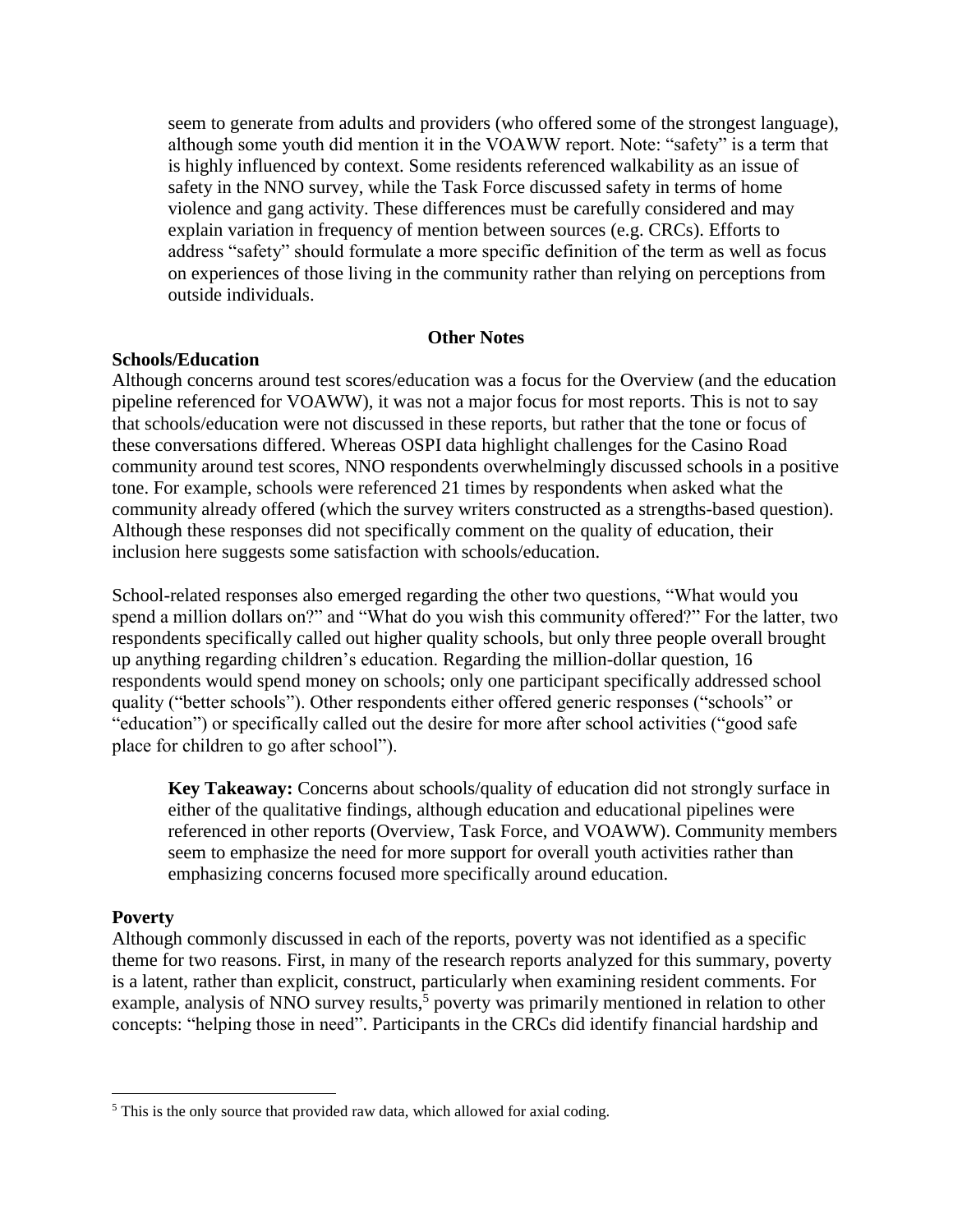seem to generate from adults and providers (who offered some of the strongest language), although some youth did mention it in the VOAWW report. Note: "safety" is a term that is highly influenced by context. Some residents referenced walkability as an issue of safety in the NNO survey, while the Task Force discussed safety in terms of home violence and gang activity. These differences must be carefully considered and may explain variation in frequency of mention between sources (e.g. CRCs). Efforts to address "safety" should formulate a more specific definition of the term as well as focus on experiences of those living in the community rather than relying on perceptions from outside individuals.

#### **Other Notes**

#### **Schools/Education**

Although concerns around test scores/education was a focus for the Overview (and the education pipeline referenced for VOAWW), it was not a major focus for most reports. This is not to say that schools/education were not discussed in these reports, but rather that the tone or focus of these conversations differed. Whereas OSPI data highlight challenges for the Casino Road community around test scores, NNO respondents overwhelmingly discussed schools in a positive tone. For example, schools were referenced 21 times by respondents when asked what the community already offered (which the survey writers constructed as a strengths-based question). Although these responses did not specifically comment on the quality of education, their inclusion here suggests some satisfaction with schools/education.

School-related responses also emerged regarding the other two questions, "What would you spend a million dollars on?" and "What do you wish this community offered?" For the latter, two respondents specifically called out higher quality schools, but only three people overall brought up anything regarding children's education. Regarding the million-dollar question, 16 respondents would spend money on schools; only one participant specifically addressed school quality ("better schools"). Other respondents either offered generic responses ("schools" or "education") or specifically called out the desire for more after school activities ("good safe place for children to go after school").

**Key Takeaway:** Concerns about schools/quality of education did not strongly surface in either of the qualitative findings, although education and educational pipelines were referenced in other reports (Overview, Task Force, and VOAWW). Community members seem to emphasize the need for more support for overall youth activities rather than emphasizing concerns focused more specifically around education.

#### **Poverty**

 $\overline{a}$ 

Although commonly discussed in each of the reports, poverty was not identified as a specific theme for two reasons. First, in many of the research reports analyzed for this summary, poverty is a latent, rather than explicit, construct, particularly when examining resident comments. For example, analysis of NNO survey results,<sup>5</sup> poverty was primarily mentioned in relation to other concepts: "helping those in need". Participants in the CRCs did identify financial hardship and

<sup>&</sup>lt;sup>5</sup> This is the only source that provided raw data, which allowed for axial coding.